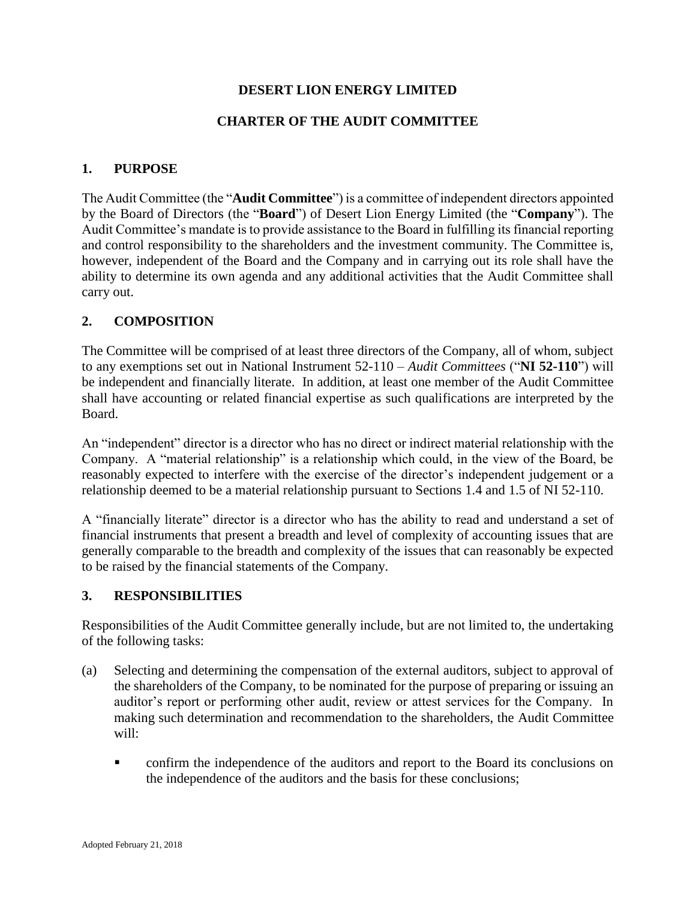## **DESERT LION ENERGY LIMITED**

## **CHARTER OF THE AUDIT COMMITTEE**

## **1. PURPOSE**

The Audit Committee (the "**Audit Committee**") is a committee of independent directors appointed by the Board of Directors (the "**Board**") of Desert Lion Energy Limited (the "**Company**"). The Audit Committee's mandate is to provide assistance to the Board in fulfilling its financial reporting and control responsibility to the shareholders and the investment community. The Committee is, however, independent of the Board and the Company and in carrying out its role shall have the ability to determine its own agenda and any additional activities that the Audit Committee shall carry out.

### **2. COMPOSITION**

The Committee will be comprised of at least three directors of the Company, all of whom, subject to any exemptions set out in National Instrument 52-110 – *Audit Committees* ("**NI 52-110**") will be independent and financially literate. In addition, at least one member of the Audit Committee shall have accounting or related financial expertise as such qualifications are interpreted by the Board.

An "independent" director is a director who has no direct or indirect material relationship with the Company. A "material relationship" is a relationship which could, in the view of the Board, be reasonably expected to interfere with the exercise of the director's independent judgement or a relationship deemed to be a material relationship pursuant to Sections 1.4 and 1.5 of NI 52-110.

A "financially literate" director is a director who has the ability to read and understand a set of financial instruments that present a breadth and level of complexity of accounting issues that are generally comparable to the breadth and complexity of the issues that can reasonably be expected to be raised by the financial statements of the Company.

### **3. RESPONSIBILITIES**

Responsibilities of the Audit Committee generally include, but are not limited to, the undertaking of the following tasks:

- (a) Selecting and determining the compensation of the external auditors, subject to approval of the shareholders of the Company, to be nominated for the purpose of preparing or issuing an auditor's report or performing other audit, review or attest services for the Company. In making such determination and recommendation to the shareholders, the Audit Committee will:
	- confirm the independence of the auditors and report to the Board its conclusions on the independence of the auditors and the basis for these conclusions;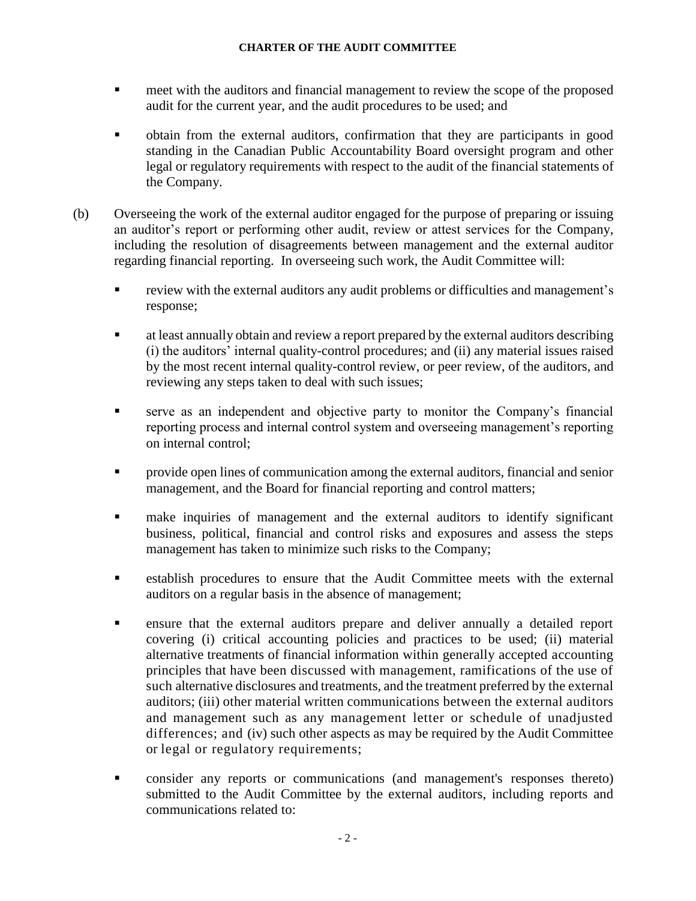- meet with the auditors and financial management to review the scope of the proposed audit for the current year, and the audit procedures to be used; and
- obtain from the external auditors, confirmation that they are participants in good standing in the Canadian Public Accountability Board oversight program and other legal or regulatory requirements with respect to the audit of the financial statements of the Company.
- (b) Overseeing the work of the external auditor engaged for the purpose of preparing or issuing an auditor's report or performing other audit, review or attest services for the Company, including the resolution of disagreements between management and the external auditor regarding financial reporting. In overseeing such work, the Audit Committee will:
	- review with the external auditors any audit problems or difficulties and management's response;
	- **Example 3** at least annually obtain and review a report prepared by the external auditors describing (i) the auditors' internal quality-control procedures; and (ii) any material issues raised by the most recent internal quality-control review, or peer review, of the auditors, and reviewing any steps taken to deal with such issues;
	- serve as an independent and objective party to monitor the Company's financial reporting process and internal control system and overseeing management's reporting on internal control;
	- **Provide open lines of communication among the external auditors, financial and senior** management, and the Board for financial reporting and control matters;
	- **In make inquiries of management and the external auditors to identify significant** business, political, financial and control risks and exposures and assess the steps management has taken to minimize such risks to the Company;
	- establish procedures to ensure that the Audit Committee meets with the external auditors on a regular basis in the absence of management;
	- ensure that the external auditors prepare and deliver annually a detailed report covering (i) critical accounting policies and practices to be used; (ii) material alternative treatments of financial information within generally accepted accounting principles that have been discussed with management, ramifications of the use of such alternative disclosures and treatments, and the treatment preferred by the external auditors; (iii) other material written communications between the external auditors and management such as any management letter or schedule of unadjusted differences; and (iv) such other aspects as may be required by the Audit Committee or legal or regulatory requirements;
	- consider any reports or communications (and management's responses thereto) submitted to the Audit Committee by the external auditors, including reports and communications related to: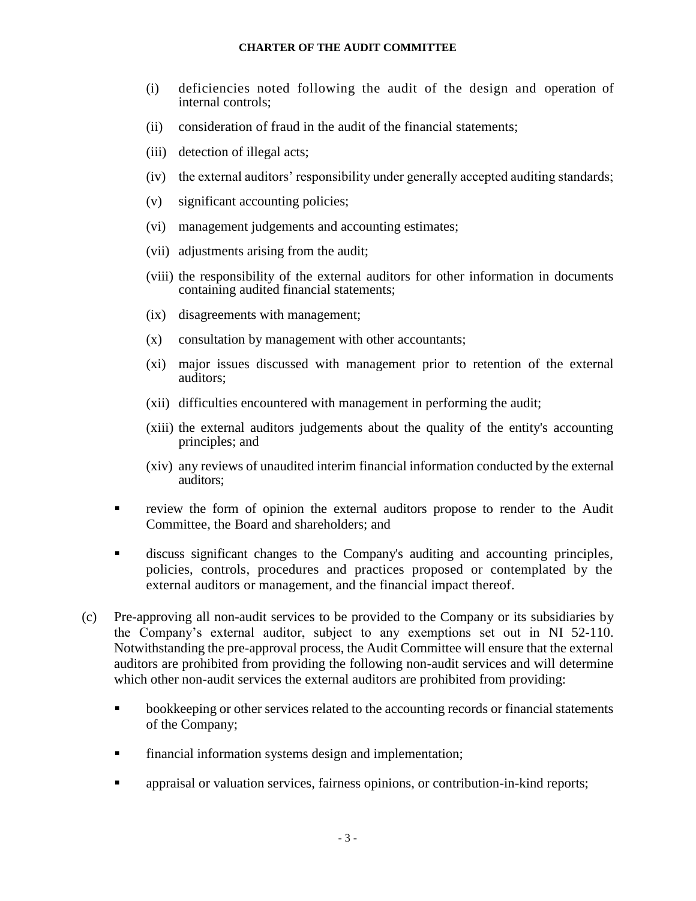- (i) deficiencies noted following the audit of the design and operation of internal controls;
- (ii) consideration of fraud in the audit of the financial statements;
- (iii) detection of illegal acts;
- (iv) the external auditors' responsibility under generally accepted auditing standards;
- (v) significant accounting policies;
- (vi) management judgements and accounting estimates;
- (vii) adjustments arising from the audit;
- (viii) the responsibility of the external auditors for other information in documents containing audited financial statements;
- (ix) disagreements with management;
- (x) consultation by management with other accountants;
- (xi) major issues discussed with management prior to retention of the external auditors;
- (xii) difficulties encountered with management in performing the audit;
- (xiii) the external auditors judgements about the quality of the entity's accounting principles; and
- (xiv) any reviews of unaudited interim financial information conducted by the external auditors;
- review the form of opinion the external auditors propose to render to the Audit Committee, the Board and shareholders; and
- discuss significant changes to the Company's auditing and accounting principles, policies, controls, procedures and practices proposed or contemplated by the external auditors or management, and the financial impact thereof.
- (c) Pre-approving all non-audit services to be provided to the Company or its subsidiaries by the Company's external auditor, subject to any exemptions set out in NI 52-110. Notwithstanding the pre-approval process, the Audit Committee will ensure that the external auditors are prohibited from providing the following non-audit services and will determine which other non-audit services the external auditors are prohibited from providing:
	- bookkeeping or other services related to the accounting records or financial statements of the Company;
	- **•** financial information systems design and implementation;
	- appraisal or valuation services, fairness opinions, or contribution-in-kind reports;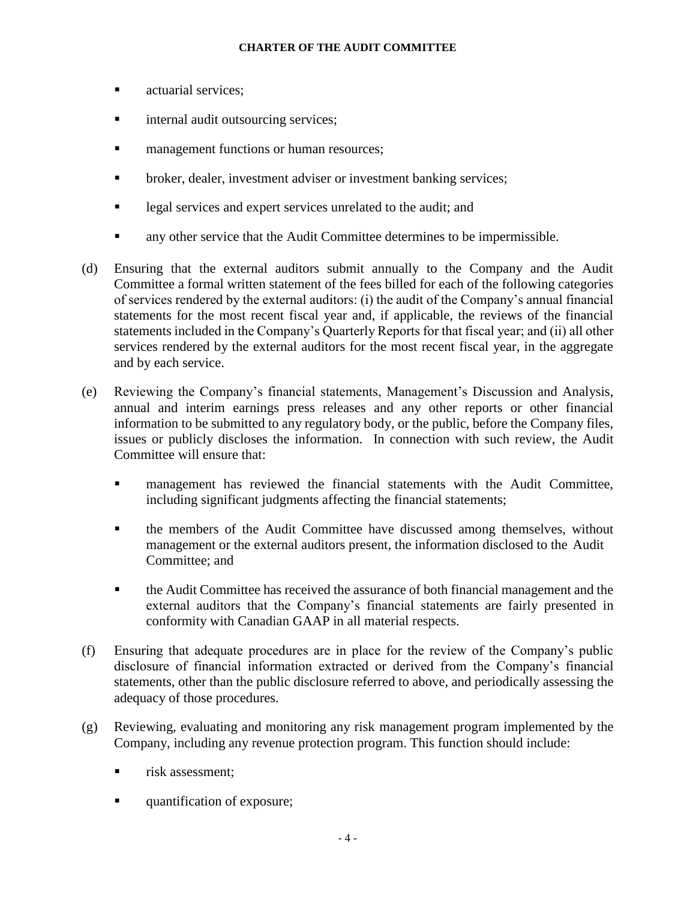- actuarial services:
- **•** internal audit outsourcing services;
- **Example 1** management functions or human resources;
- broker, dealer, investment adviser or investment banking services;
- **EXECUTE:** legal services and expert services unrelated to the audit; and
- any other service that the Audit Committee determines to be impermissible.
- (d) Ensuring that the external auditors submit annually to the Company and the Audit Committee a formal written statement of the fees billed for each of the following categories of services rendered by the external auditors: (i) the audit of the Company's annual financial statements for the most recent fiscal year and, if applicable, the reviews of the financial statements included in the Company's Quarterly Reports for that fiscal year; and (ii) all other services rendered by the external auditors for the most recent fiscal year, in the aggregate and by each service.
- (e) Reviewing the Company's financial statements, Management's Discussion and Analysis, annual and interim earnings press releases and any other reports or other financial information to be submitted to any regulatory body, or the public, before the Company files, issues or publicly discloses the information. In connection with such review, the Audit Committee will ensure that:
	- **In management has reviewed the financial statements with the Audit Committee,** including significant judgments affecting the financial statements;
	- the members of the Audit Committee have discussed among themselves, without management or the external auditors present, the information disclosed to the Audit Committee; and
	- the Audit Committee has received the assurance of both financial management and the external auditors that the Company's financial statements are fairly presented in conformity with Canadian GAAP in all material respects.
- (f) Ensuring that adequate procedures are in place for the review of the Company's public disclosure of financial information extracted or derived from the Company's financial statements, other than the public disclosure referred to above, and periodically assessing the adequacy of those procedures.
- (g) Reviewing, evaluating and monitoring any risk management program implemented by the Company, including any revenue protection program. This function should include:
	- risk assessment:
	- quantification of exposure;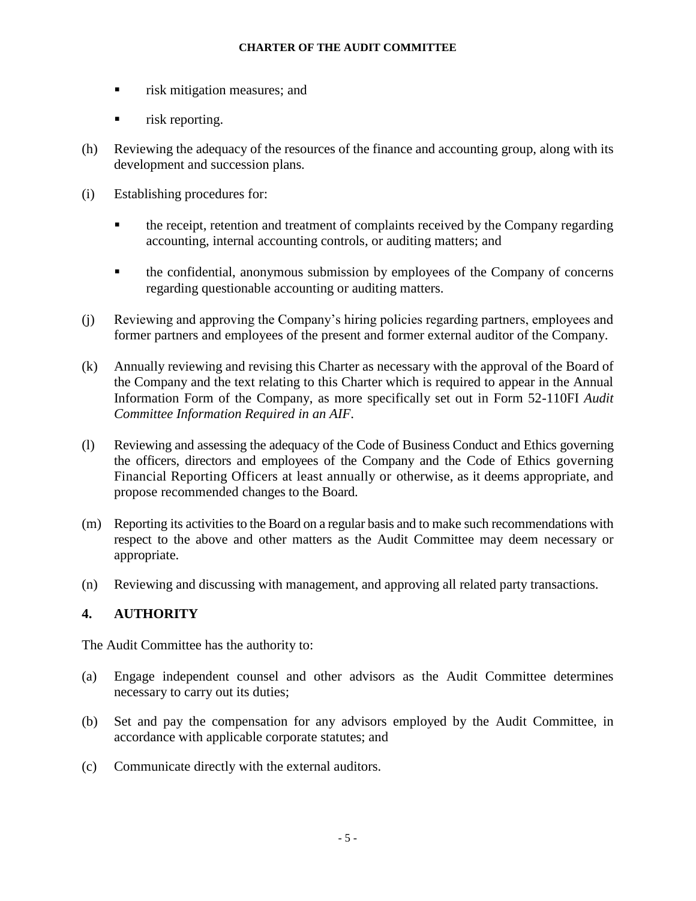- **•** risk mitigation measures; and
- **•** risk reporting.
- (h) Reviewing the adequacy of the resources of the finance and accounting group, along with its development and succession plans.
- (i) Establishing procedures for:
	- **EXECUTE:** the receipt, retention and treatment of complaints received by the Company regarding accounting, internal accounting controls, or auditing matters; and
	- the confidential, anonymous submission by employees of the Company of concerns regarding questionable accounting or auditing matters.
- (j) Reviewing and approving the Company's hiring policies regarding partners, employees and former partners and employees of the present and former external auditor of the Company.
- (k) Annually reviewing and revising this Charter as necessary with the approval of the Board of the Company and the text relating to this Charter which is required to appear in the Annual Information Form of the Company, as more specifically set out in Form 52-110FI *Audit Committee Information Required in an AIF*.
- (l) Reviewing and assessing the adequacy of the Code of Business Conduct and Ethics governing the officers, directors and employees of the Company and the Code of Ethics governing Financial Reporting Officers at least annually or otherwise, as it deems appropriate, and propose recommended changes to the Board.
- (m) Reporting its activities to the Board on a regular basis and to make such recommendations with respect to the above and other matters as the Audit Committee may deem necessary or appropriate.
- (n) Reviewing and discussing with management, and approving all related party transactions.

# **4. AUTHORITY**

The Audit Committee has the authority to:

- (a) Engage independent counsel and other advisors as the Audit Committee determines necessary to carry out its duties;
- (b) Set and pay the compensation for any advisors employed by the Audit Committee, in accordance with applicable corporate statutes; and
- (c) Communicate directly with the external auditors.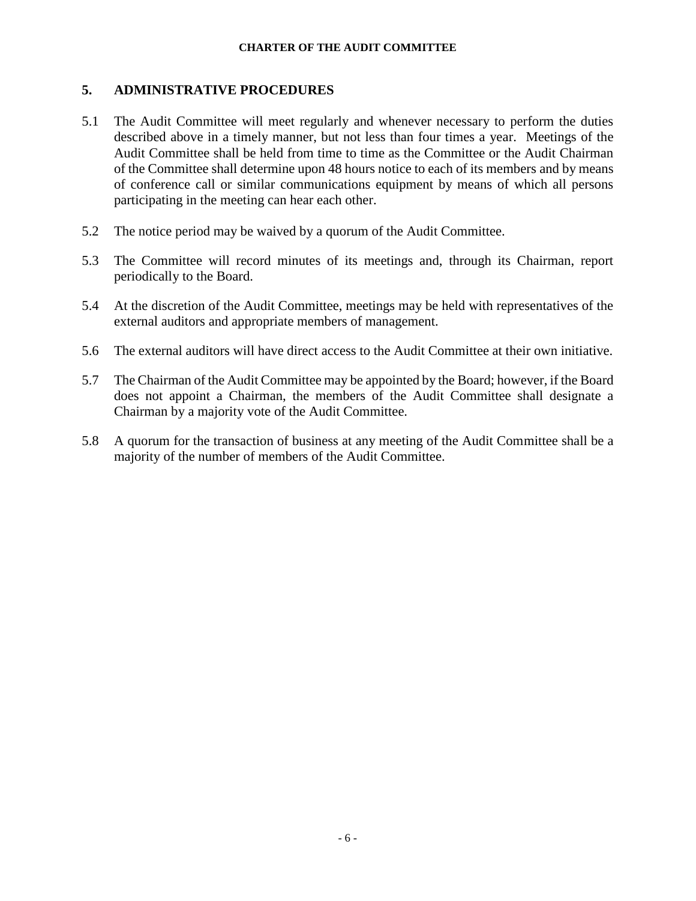## **5. ADMINISTRATIVE PROCEDURES**

- 5.1 The Audit Committee will meet regularly and whenever necessary to perform the duties described above in a timely manner, but not less than four times a year. Meetings of the Audit Committee shall be held from time to time as the Committee or the Audit Chairman of the Committee shall determine upon 48 hours notice to each of its members and by means of conference call or similar communications equipment by means of which all persons participating in the meeting can hear each other.
- 5.2 The notice period may be waived by a quorum of the Audit Committee.
- 5.3 The Committee will record minutes of its meetings and, through its Chairman, report periodically to the Board.
- 5.4 At the discretion of the Audit Committee, meetings may be held with representatives of the external auditors and appropriate members of management.
- 5.6 The external auditors will have direct access to the Audit Committee at their own initiative.
- 5.7 The Chairman of the Audit Committee may be appointed by the Board; however, if the Board does not appoint a Chairman, the members of the Audit Committee shall designate a Chairman by a majority vote of the Audit Committee.
- 5.8 A quorum for the transaction of business at any meeting of the Audit Committee shall be a majority of the number of members of the Audit Committee.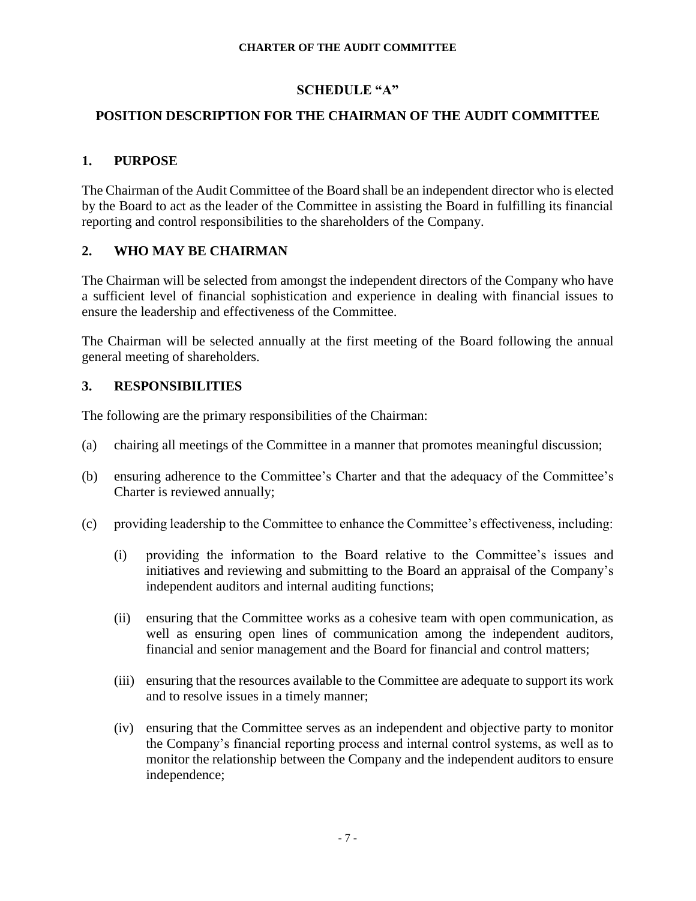## **SCHEDULE "A"**

# **POSITION DESCRIPTION FOR THE CHAIRMAN OF THE AUDIT COMMITTEE**

## **1. PURPOSE**

The Chairman of the Audit Committee of the Board shall be an independent director who is elected by the Board to act as the leader of the Committee in assisting the Board in fulfilling its financial reporting and control responsibilities to the shareholders of the Company.

## **2. WHO MAY BE CHAIRMAN**

The Chairman will be selected from amongst the independent directors of the Company who have a sufficient level of financial sophistication and experience in dealing with financial issues to ensure the leadership and effectiveness of the Committee.

The Chairman will be selected annually at the first meeting of the Board following the annual general meeting of shareholders.

## **3. RESPONSIBILITIES**

The following are the primary responsibilities of the Chairman:

- (a) chairing all meetings of the Committee in a manner that promotes meaningful discussion;
- (b) ensuring adherence to the Committee's Charter and that the adequacy of the Committee's Charter is reviewed annually;
- (c) providing leadership to the Committee to enhance the Committee's effectiveness, including:
	- (i) providing the information to the Board relative to the Committee's issues and initiatives and reviewing and submitting to the Board an appraisal of the Company's independent auditors and internal auditing functions;
	- (ii) ensuring that the Committee works as a cohesive team with open communication, as well as ensuring open lines of communication among the independent auditors, financial and senior management and the Board for financial and control matters;
	- (iii) ensuring that the resources available to the Committee are adequate to support its work and to resolve issues in a timely manner;
	- (iv) ensuring that the Committee serves as an independent and objective party to monitor the Company's financial reporting process and internal control systems, as well as to monitor the relationship between the Company and the independent auditors to ensure independence;